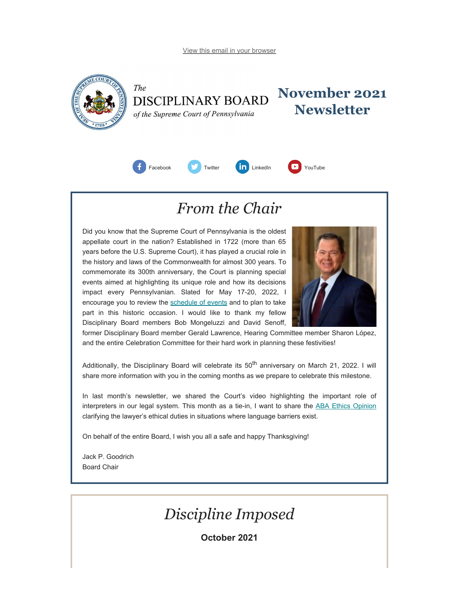<span id="page-0-0"></span>

The

**November 2021 DISCIPLINARY BOARD Newsletter** of the Supreme Court of Pennsylvania



# *From the Chair*

Did you know that the Supreme Court of Pennsylvania is the oldest appellate court in the nation? Established in 1722 (more than 65 years before the U.S. Supreme Court), it has played a crucial role in the history and laws of the Commonwealth for almost 300 years. To commemorate its 300th anniversary, the Court is planning special events aimed at highlighting its unique role and how its decisions impact every Pennsylvanian. Slated for May 17-20, 2022, I encourage you to review the [schedule of events](https://www.pacourts.us/learn/history/celebrating-300-years) and to plan to take part in this historic occasion. I would like to thank my fellow Disciplinary Board members Bob Mongeluzzi and David Senoff,



former Disciplinary Board member Gerald Lawrence, Hearing Committee member Sharon López, and the entire Celebration Committee for their hard work in planning these festivities!

Additionally, the Disciplinary Board will celebrate its 50<sup>th</sup> anniversary on March 21, 2022. I will share more information with you in the coming months as we prepare to celebrate this milestone.

In last month's newsletter, we shared the Court's video highlighting the important role of interpreters in our legal system. This month as a tie-in, I want to share the [ABA Ethics Opinion](https://www.americanbar.org/content/dam/aba/administrative/professional_responsibility/aba-formal-opinion-500.pdf) clarifying the lawyer's ethical duties in situations where language barriers exist.

On behalf of the entire Board, I wish you all a safe and happy Thanksgiving!

Jack P. Goodrich Board Chair

# *Discipline Imposed*

**October 2021**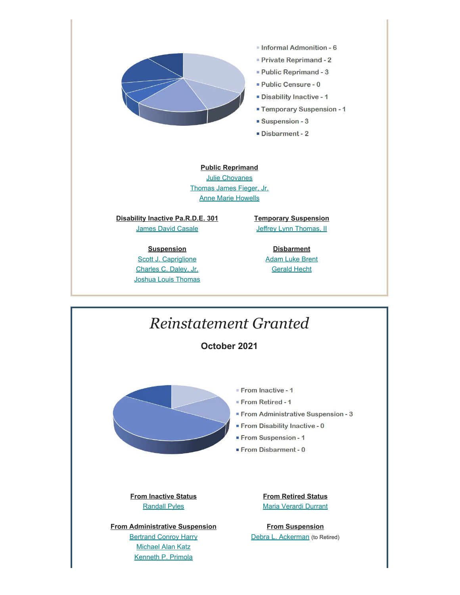

### **Public Reprimand** [Julie Chovanes](https://www.padisciplinaryboard.org/for-the-public/find-attorney/attorney-detail/50176)

[Thomas James Fieger, Jr.](https://www.padisciplinaryboard.org/for-the-public/find-attorney/attorney-detail/46392) [Anne Marie Howells](https://www.padisciplinaryboard.org/for-the-public/find-attorney/attorney-detail/83809)

**Disability Inactive Pa.R.D.E. 301 [James David Casale](https://www.padisciplinaryboard.org/for-the-public/find-attorney/attorney-detail/34841)** 

> **Suspension** [Scott J. Capriglione](https://www.padisciplinaryboard.org/for-the-public/find-attorney/attorney-detail/42259) [Charles C. Daley, Jr.](https://www.padisciplinaryboard.org/for-the-public/find-attorney/attorney-detail/43170) [Joshua Louis Thomas](https://www.padisciplinaryboard.org/for-the-public/find-attorney/attorney-detail/312476)

**Temporary Suspension** [Jeffrey Lynn Thomas, II](https://www.padisciplinaryboard.org/for-the-public/find-attorney/attorney-detail/319577)

> **Disbarment** [Adam Luke Brent](https://www.padisciplinaryboard.org/for-the-public/find-attorney/attorney-detail/90834) [Gerald Hecht](https://www.padisciplinaryboard.org/for-the-public/find-attorney/attorney-detail/33999)

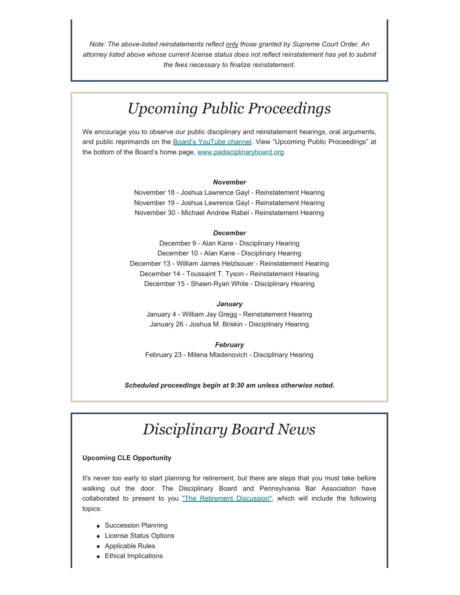*Note: The above-listed reinstatements reflect only those granted by Supreme Court Order. An attorney listed above whose current license status does not reflect reinstatement has yet to submit the fees necessary to finalize reinstatement.*

# *Upcoming Public Proceedings*

We encourage you to observe our public disciplinary and reinstatement hearings, oral arguments, and public reprimands on the [Board's YouTube channel.](https://www.youtube.com/channel/UC7Rzfgcm91b2y3TRTXAViHw) View "Upcoming Public Proceedings" at the bottom of the Board's home page, [www.padisciplinaryboard.org.](https://www.padisciplinaryboard.org/)

#### *November*

November 18 - Joshua Lawrence Gayl - Reinstatement Hearing November 19 - Joshua Lawrence Gayl - Reinstatement Hearing November 30 - Michael Andrew Rabel - Reinstatement Hearing

### *December*

December 9 - Alan Kane - Disciplinary Hearing December 10 - Alan Kane - Disciplinary Hearing December 13 - William James Helzlsouer - Reinstatement Hearing December 14 - Toussaint T. Tyson - Reinstatement Hearing December 15 - Shawn-Ryan White - Disciplinary Hearing

#### *January*

January 4 - William Jay Gregg - Reinstatement Hearing January 26 - Joshua M. Briskin - Disciplinary Hearing

#### *February*

February 23 - Milena Mladenovich - Disciplinary Hearing

*Scheduled proceedings begin at 9:30 am unless otherwise noted.*

# *Disciplinary Board News*

### **Upcoming CLE Opportunity**

It's never too early to start planning for retirement, but there are steps that you must take before walking out the door. The Disciplinary Board and Pennsylvania Bar Association have collaborated to present to you ["The Retirement Discussion",](https://www.pbi.org/Meetings/Meeting.aspx?ID=40925) which will include the following topics:

- Succession Planning
- **•** License Status Options
- Applicable Rules
- Ethical Implications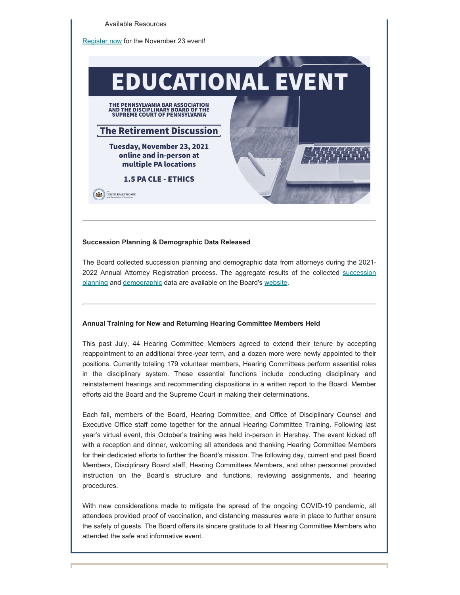

### **Succession Planning & Demographic Data Released**

The Board collected succession planning and demographic data from attorneys during the 2021 2022 Annual Attorney Registration process. The aggregate results of the collected [succession](https://www.padisciplinaryboard.org/Storage/media/pdfs/20211029/133207-successionplanningdatapublicrelease-2021.10.27.pdf) [planning](https://www.padisciplinaryboard.org/Storage/media/pdfs/20211029/133207-successionplanningdatapublicrelease-2021.10.27.pdf) and [demographic](https://www.padisciplinaryboard.org/Storage/media/pdfs/20211029/133754-demographicdatapublicrelease-2021.10.27.pdf) data are available on the Board's [website](https://www.padisciplinaryboard.org/news-media).

### **Annual Training for New and Returning Hearing Committee Members Held**

This past July, 44 Hearing Committee Members agreed to extend their tenure by accepting reappointment to an additional three-year term, and a dozen more were newly appointed to their positions. Currently totaling 179 volunteer members, Hearing Committees perform essential roles in the disciplinary system. These essential functions include conducting disciplinary and reinstatement hearings and recommending dispositions in a written report to the Board. Member efforts aid the Board and the Supreme Court in making their determinations.

Each fall, members of the Board, Hearing Committee, and Office of Disciplinary Counsel and Executive Office staff come together for the annual Hearing Committee Training. Following last year's virtual event, this October's training was held in-person in Hershey. The event kicked off with a reception and dinner, welcoming all attendees and thanking Hearing Committee Members for their dedicated efforts to further the Board's mission. The following day, current and past Board Members, Disciplinary Board staff, Hearing Committees Members, and other personnel provided instruction on the Board's structure and functions, reviewing assignments, and hearing procedures.

With new considerations made to mitigate the spread of the ongoing COVID-19 pandemic, all attendees provided proof of vaccination, and distancing measures were in place to further ensure the safety of guests. The Board offers its sincere gratitude to all Hearing Committee Members who attended the safe and informative event.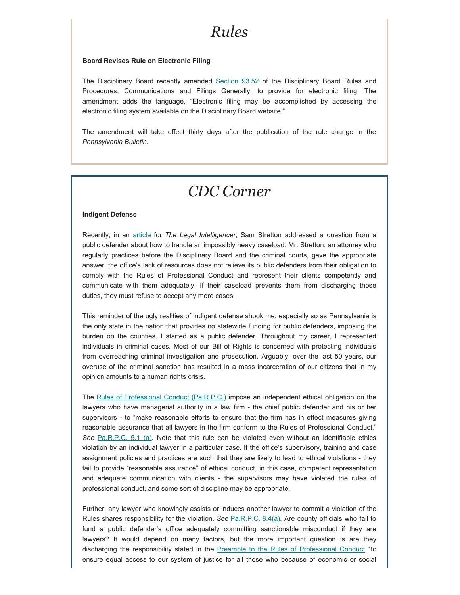### *Rules*

### **Board Revises Rule on Electronic Filing**

The Disciplinary Board recently amended [Section 93.52](http://www.pacodeandbulletin.gov/Display/pacode?file=/secure/pacode/data/204/chapter93/chap93toc.html&d=reduce#93.52.) of the Disciplinary Board Rules and Procedures, Communications and Filings Generally, to provide for electronic filing. The amendment adds the language, "Electronic filing may be accomplished by accessing the electronic filing system available on the Disciplinary Board website."

The amendment will take effect thirty days after the publication of the rule change in the *Pennsylvania Bulletin.*

### *CDC Corner*

### **Indigent Defense**

Recently, in an [article](https://www.law.com/thelegalintelligencer/2021/10/07/ethics-forum-questions-and-answers-on-professional-responsibility-194/) for *The Legal Intelligencer*, Sam Stretton addressed a question from a public defender about how to handle an impossibly heavy caseload. Mr. Stretton, an attorney who regularly practices before the Disciplinary Board and the criminal courts, gave the appropriate answer: the office's lack of resources does not relieve its public defenders from their obligation to comply with the Rules of Professional Conduct and represent their clients competently and communicate with them adequately. If their caseload prevents them from discharging those duties, they must refuse to accept any more cases.

This reminder of the ugly realities of indigent defense shook me, especially so as Pennsylvania is the only state in the nation that provides no statewide funding for public defenders, imposing the burden on the counties. I started as a public defender. Throughout my career, I represented individuals in criminal cases. Most of our Bill of Rights is concerned with protecting individuals from overreaching criminal investigation and prosecution. Arguably, over the last 50 years, our overuse of the criminal sanction has resulted in a mass incarceration of our citizens that in my opinion amounts to a human rights crisis.

The [Rules of Professional Conduct \(Pa.R.P.C.\)](https://www.padisciplinaryboard.org/for-attorneys/rules/rule/3/the-rules-of-professional-conduct) impose an independent ethical obligation on the lawyers who have managerial authority in a law firm - the chief public defender and his or her supervisors - to "make reasonable efforts to ensure that the firm has in effect measures giving reasonable assurance that all lawyers in the firm conform to the Rules of Professional Conduct." See [Pa.R.P.C. 5.1 \(a\)](https://www.padisciplinaryboard.org/for-attorneys/rules/rule/3/the-rules-of-professional-conduct#rule-180). Note that this rule can be violated even without an identifiable ethics violation by an individual lawyer in a particular case. If the office's supervisory, training and case assignment policies and practices are such that they are likely to lead to ethical violations - they fail to provide "reasonable assurance" of ethical conduct, in this case, competent representation and adequate communication with clients - the supervisors may have violated the rules of professional conduct, and some sort of discipline may be appropriate.

Further, any lawyer who knowingly assists or induces another lawyer to commit a violation of the Rules shares responsibility for the violation. *See* [Pa.R.P.C. 8.4\(a\)](https://www.padisciplinaryboard.org/for-attorneys/rules/rule/3/the-rules-of-professional-conduct#rule-260). Are county officials who fail to fund a public defender's office adequately committing sanctionable misconduct if they are lawyers? It would depend on many factors, but the more important question is are they discharging the responsibility stated in the Preamble to the [Rules of Professional Conduct](https://www.padisciplinaryboard.org/for-attorneys/rules/rule/3/the-rules-of-professional-conduct#) "to ensure equal access to our system of justice for all those who because of economic or social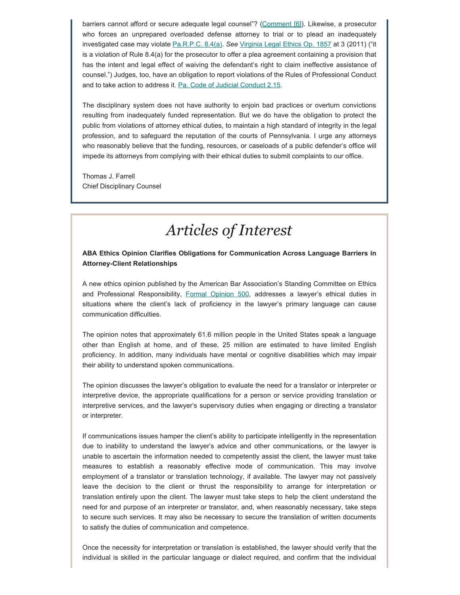barriers cannot afford or secure adequate legal counsel"? [\(Comment \[6\]](https://www.padisciplinaryboard.org/for-attorneys/rules/rule/3/#p-preamble-6)). Likewise, a prosecutor who forces an unprepared overloaded defense attorney to trial or to plead an inadequately investigated case may violate [Pa.R.P.C. 8.4\(a\).](https://www.padisciplinaryboard.org/for-attorneys/rules/rule/3/the-rules-of-professional-conduct#rule-260) *See* [Virginia Legal Ethics Op. 1857](https://www.vsb.org/docs/LEO/1857.pdf) at 3 (2011) ("it is a violation of Rule 8.4(a) for the prosecutor to offer a plea agreement containing a provision that has the intent and legal effect of waiving the defendant's right to claim ineffective assistance of counsel.") Judges, too, have an obligation to report violations of the Rules of Professional Conduct and to take action to address it. [Pa. Code of Judicial](http://judicialconductboardofpa.org/code-of-judicial-conduct/#2.15.) Conduct 2.15.

The disciplinary system does not have authority to enjoin bad practices or overturn convictions resulting from inadequately funded representation. But we do have the obligation to protect the public from violations of attorney ethical duties, to maintain a high standard of integrity in the legal profession, and to safeguard the reputation of the courts of Pennsylvania. I urge any attorneys who reasonably believe that the funding, resources, or caseloads of a public defender's office will impede its attorneys from complying with their ethical duties to submit complaints to our office.

Thomas J. Farrell Chief Disciplinary Counsel

# *Articles of Interest*

### **ABA Ethics Opinion Clarifies Obligations for Communication Across Language Barriers in Attorney-Client Relationships**

A new ethics opinion published by the American Bar Association's Standing Committee on Ethics and Professional Responsibility, [Formal Opinion 500](https://www.americanbar.org/content/dam/aba/administrative/professional_responsibility/aba-formal-opinion-500.pdf), addresses a lawyer's ethical duties in situations where the client's lack of proficiency in the lawyer's primary language can cause communication difficulties.

The opinion notes that approximately 61.6 million people in the United States speak a language other than English at home, and of these, 25 million are estimated to have limited English proficiency. In addition, many individuals have mental or cognitive disabilities which may impair their ability to understand spoken communications.

The opinion discusses the lawyer's obligation to evaluate the need for a translator or interpreter or interpretive device, the appropriate qualifications for a person or service providing translation or interpretive services, and the lawyer's supervisory duties when engaging or directing a translator or interpreter.

If communications issues hamper the client's ability to participate intelligently in the representation due to inability to understand the lawyer's advice and other communications, or the lawyer is unable to ascertain the information needed to competently assist the client, the lawyer must take measures to establish a reasonably effective mode of communication. This may involve employment of a translator or translation technology, if available. The lawyer may not passively leave the decision to the client or thrust the responsibility to arrange for interpretation or translation entirely upon the client. The lawyer must take steps to help the client understand the need for and purpose of an interpreter or translator, and, when reasonably necessary, take steps to secure such services. It may also be necessary to secure the translation of written documents to satisfy the duties of communication and competence.

Once the necessity for interpretation or translation is established, the lawyer should verify that the individual is skilled in the particular language or dialect required, and confirm that the individual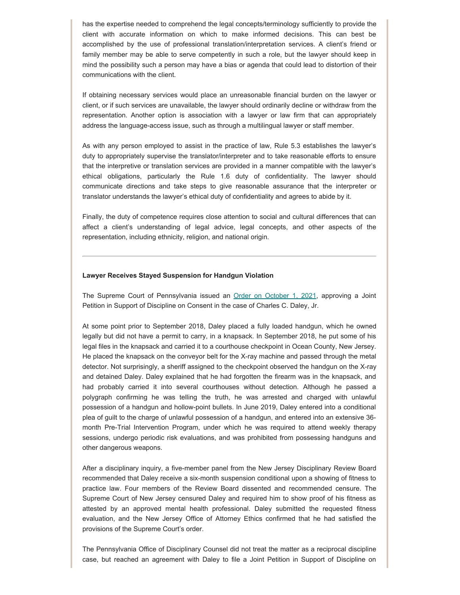has the expertise needed to comprehend the legal concepts/terminology sufficiently to provide the client with accurate information on which to make informed decisions. This can best be accomplished by the use of professional translation/interpretation services. A client's friend or family member may be able to serve competently in such a role, but the lawyer should keep in mind the possibility such a person may have a bias or agenda that could lead to distortion of their communications with the client.

If obtaining necessary services would place an unreasonable financial burden on the lawyer or client, or if such services are unavailable, the lawyer should ordinarily decline or withdraw from the representation. Another option is association with a lawyer or law firm that can appropriately address the language-access issue, such as through a multilingual lawyer or staff member.

As with any person employed to assist in the practice of law, Rule 5.3 establishes the lawyer's duty to appropriately supervise the translator/interpreter and to take reasonable efforts to ensure that the interpretive or translation services are provided in a manner compatible with the lawyer's ethical obligations, particularly the Rule 1.6 duty of confidentiality. The lawyer should communicate directions and take steps to give reasonable assurance that the interpreter or translator understands the lawyer's ethical duty of confidentiality and agrees to abide by it.

Finally, the duty of competence requires close attention to social and cultural differences that can affect a client's understanding of legal advice, legal concepts, and other aspects of the representation, including ethnicity, religion, and national origin.

#### **Lawyer Receives Stayed Suspension for Handgun Violation**

The Supreme Court of Pennsylvania issued an [Order on October 1, 2021](https://www.pacourts.us/assets/opinions/DisciplinaryBoard/out/122DB2021-Daley.pdf), approving a Joint Petition in Support of Discipline on Consent in the case of Charles C. Daley, Jr.

At some point prior to September 2018, Daley placed a fully loaded handgun, which he owned legally but did not have a permit to carry, in a knapsack. In September 2018, he put some of his legal files in the knapsack and carried it to a courthouse checkpoint in Ocean County, New Jersey. He placed the knapsack on the conveyor belt for the X-ray machine and passed through the metal detector. Not surprisingly, a sheriff assigned to the checkpoint observed the handgun on the X-ray and detained Daley. Daley explained that he had forgotten the firearm was in the knapsack, and had probably carried it into several courthouses without detection. Although he passed a polygraph confirming he was telling the truth, he was arrested and charged with unlawful possession of a handgun and hollow-point bullets. In June 2019, Daley entered into a conditional plea of guilt to the charge of unlawful possession of a handgun, and entered into an extensive 36 month Pre-Trial Intervention Program, under which he was required to attend weekly therapy sessions, undergo periodic risk evaluations, and was prohibited from possessing handguns and other dangerous weapons.

After a disciplinary inquiry, a five-member panel from the New Jersey Disciplinary Review Board recommended that Daley receive a six-month suspension conditional upon a showing of fitness to practice law. Four members of the Review Board dissented and recommended censure. The Supreme Court of New Jersey censured Daley and required him to show proof of his fitness as attested by an approved mental health professional. Daley submitted the requested fitness evaluation, and the New Jersey Office of Attorney Ethics confirmed that he had satisfied the provisions of the Supreme Court's order.

The Pennsylvania Office of Disciplinary Counsel did not treat the matter as a reciprocal discipline case, but reached an agreement with Daley to file a Joint Petition in Support of Discipline on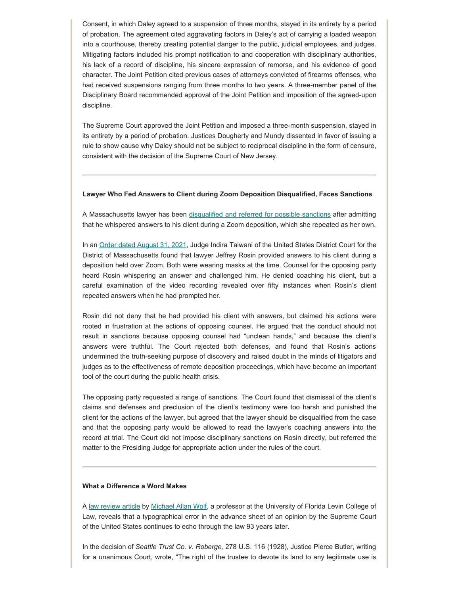Consent, in which Daley agreed to a suspension of three months, stayed in its entirety by a period of probation. The agreement cited aggravating factors in Daley's act of carrying a loaded weapon into a courthouse, thereby creating potential danger to the public, judicial employees, and judges. Mitigating factors included his prompt notification to and cooperation with disciplinary authorities, his lack of a record of discipline, his sincere expression of remorse, and his evidence of good character. The Joint Petition cited previous cases of attorneys convicted of firearms offenses, who had received suspensions ranging from three months to two years. A three-member panel of the Disciplinary Board recommended approval of the Joint Petition and imposition of the agreed-upon discipline.

The Supreme Court approved the Joint Petition and imposed a three-month suspension, stayed in its entirety by a period of probation. Justices Dougherty and Mundy dissented in favor of issuing a rule to show cause why Daley should not be subject to reciprocal discipline in the form of censure, consistent with the decision of the Supreme Court of New Jersey.

### **Lawyer Who Fed Answers to Client during Zoom Deposition Disqualified, Faces Sanctions**

A Massachusetts lawyer has been [disqualified and referred for possible sanctions](https://www.abajournal.com/news/article/lawyer-accused-of-feeding-answers-to-his-client-in-zoom-deposition-faces-possible-sanction) after admitting that he whispered answers to his client during a Zoom deposition, which she repeated as her own.

In an [Order dated August 31, 2021](https://www.abajournal.com/files/RosinORder.pdf), Judge Indira Talwani of the United States District Court for the District of Massachusetts found that lawyer Jeffrey Rosin provided answers to his client during a deposition held over Zoom. Both were wearing masks at the time. Counsel for the opposing party heard Rosin whispering an answer and challenged him. He denied coaching his client, but a careful examination of the video recording revealed over fifty instances when Rosin's client repeated answers when he had prompted her.

Rosin did not deny that he had provided his client with answers, but claimed his actions were rooted in frustration at the actions of opposing counsel. He argued that the conduct should not result in sanctions because opposing counsel had "unclean hands," and because the client's answers were truthful. The Court rejected both defenses, and found that Rosin's actions undermined the truth-seeking purpose of discovery and raised doubt in the minds of litigators and judges as to the effectiveness of remote deposition proceedings, which have become an important tool of the court during the public health crisis.

The opposing party requested a range of sanctions. The Court found that dismissal of the client's claims and defenses and preclusion of the client's testimony were too harsh and punished the client for the actions of the lawyer, but agreed that the lawyer should be disqualified from the case and that the opposing party would be allowed to read the lawyer's coaching answers into the record at trial. The Court did not impose disciplinary sanctions on Rosin directly, but referred the matter to the Presiding Judge for appropriate action under the rules of the court.

### **What a Difference a Word Makes**

A [law review article](https://poseidon01.ssrn.com/delivery.php?ID=580124069074120004029064030065092126116045031036095011024097024122100102064113116090025045023032105055117096114127107118024064007094031035053089127125091101078016102089089082092084116084112083065113094090115113011019124002115095077096011120096085065127&EXT=pdf&INDEX=TRUE) by [Michael Allan Wolf](https://www.law.ufl.edu/faculty/michael-allan-wolf), a professor at the University of Florida Levin College of Law, reveals that a typographical error in the advance sheet of an opinion by the Supreme Court of the United States continues to echo through the law 93 years later.

In the decision of *Seattle Trust Co. v. Roberge,* 278 U.S. 116 (1928), Justice Pierce Butler, writing for a unanimous Court, wrote, "The right of the trustee to devote its land to any legitimate use is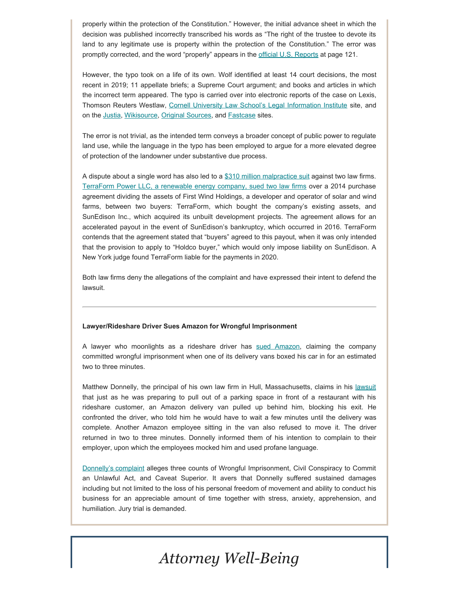properly within the protection of the Constitution." However, the initial advance sheet in which the decision was published incorrectly transcribed his words as "The right of the trustee to devote its land to any legitimate use is property within the protection of the Constitution." The error was promptly corrected, and the word "properly" appears in the [official U.S. Reports](https://tile.loc.gov/storage-services/service/ll/usrep/usrep278/usrep278116/usrep278116.pdf) at page 121.

However, the typo took on a life of its own. Wolf identified at least 14 court decisions, the most recent in 2019; 11 appellate briefs; a Supreme Court argument; and books and articles in which the incorrect term appeared. The typo is carried over into electronic reports of the case on Lexis, Thomson Reuters Westlaw, [Cornell University Law School's Legal Information Institute](https://www.law.cornell.edu/supremecourt/text/278/116) site, and on the [Justia](https://supreme.justia.com/cases/federal/us/278/116/), [Wikisource](https://en.wikisource.org/wiki/Washington_ex_rel._Seattle_Title_Trust_Company_v._Roberge/Opinion_of_the_Court), [Original Sources](https://www.originalsources.com/Document.aspx?DocID=CN9NAFY7PWFMKQG), and [Fastcase](https://fc7.fastcase.com/results?q=Seattle%20Trust%20Co.%20v.%20Roberge&type=Cases&docUid=38279¤tView=results) sites.

The error is not trivial, as the intended term conveys a broader concept of public power to regulate land use, while the language in the typo has been employed to argue for a more elevated degree of protection of the landowner under substantive due process.

A dispute about a single word has also led to a [\\$310 million malpractice suit](https://news.bloomberglaw.com/business-and-practice/orrick-cleary-sued-over-300-million-one-word-error-in-sale) against two law firms. [TerraForm Power LLC, a renewable energy company, sued two law firms](https://aboutblaw.com/Z2G) over a 2014 purchase agreement dividing the assets of First Wind Holdings, a developer and operator of solar and wind farms, between two buyers: TerraForm, which bought the company's existing assets, and SunEdison Inc., which acquired its unbuilt development projects. The agreement allows for an accelerated payout in the event of SunEdison's bankruptcy, which occurred in 2016. TerraForm contends that the agreement stated that "buyers" agreed to this payout, when it was only intended that the provision to apply to "Holdco buyer," which would only impose liability on SunEdison. A New York judge found TerraForm liable for the payments in 2020.

Both law firms deny the allegations of the complaint and have expressed their intent to defend the lawsuit.

### **Lawyer/Rideshare Driver Sues Amazon for Wrongful Imprisonment**

A lawyer who moonlights as a rideshare driver has [sued Amazon](https://finance.yahoo.com/news/massachusetts-lawyer-sues-amazon-false-135915733.html), claiming the company committed wrongful imprisonment when one of its delivery vans boxed his car in for an estimated two to three minutes.

Matthew Donnelly, the principal of his own law firm in Hull, Massachusetts, claims in his [lawsuit](https://www.abajournal.com/news/article/lawyer-sues-amazon-for-false-imprisonment-after-delivery-van-blocks-his-car) that just as he was preparing to pull out of a parking space in front of a restaurant with his rideshare customer, an Amazon delivery van pulled up behind him, blocking his exit. He confronted the driver, who told him he would have to wait a few minutes until the delivery was complete. Another Amazon employee sitting in the van also refused to move it. The driver returned in two to three minutes. Donnelly informed them of his intention to complain to their employer, upon which the employees mocked him and used profane language.

[Donnelly's complaint](https://s3.documentcloud.org/documents/21077686/2183cv00778-donnelly-matthew-j-vs-amazoncom-inc-et-al.pdf) alleges three counts of Wrongful Imprisonment, Civil Conspiracy to Commit an Unlawful Act, and Caveat Superior. It avers that Donnelly suffered sustained damages including but not limited to the loss of his personal freedom of movement and ability to conduct his business for an appreciable amount of time together with stress, anxiety, apprehension, and humiliation. Jury trial is demanded.

# *Attorney Well-Being*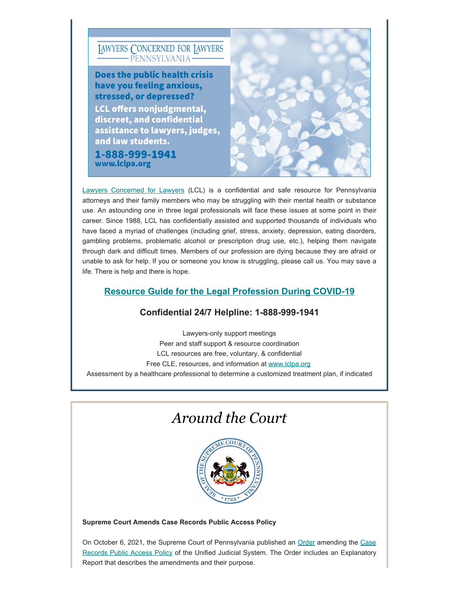

[Lawyers Concerned for Lawyers](https://www.lclpa.org/) (LCL) is a confidential and safe resource for Pennsylvania attorneys and their family members who may be struggling with their mental health or substance use. An astounding one in three legal professionals will face these issues at some point in their career. Since 1988, LCL has confidentially assisted and supported thousands of individuals who have faced a myriad of challenges (including grief, stress, anxiety, depression, eating disorders, gambling problems, problematic alcohol or prescription drug use, etc.), helping them navigate through dark and difficult times. Members of our profession are dying because they are afraid or unable to ask for help. If you or someone you know is struggling, please call us. You may save a life. There is help and there is hope.

### **Resource Guide [for the Legal Profession During COVID-19](https://www.lclpa.org/wp-content/uploads/2021/07/LCL-PA-COVID-Resource-Guide-Update-AUGUST-2021-1.pdf)**

### **Confidential 24/7 Helpline: 1-888-999-1941**

Lawyers-only support meetings Peer and staff support & resource coordination LCL resources are free, voluntary, & confidential Free CLE, resources, and information at [www.lclpa.org](https://www.lclpa.org/) Assessment by a healthcare professional to determine a customized treatment plan, if indicated

### *Around the Court*



**Supreme Court Amends Case Records Public Access Policy**

On October 6, 2021, the Supreme Court of Pennsylvania published an [Order](https://www.padisciplinaryboard.org/Storage/media/pdfs/20211103/180658-caserecordspublicaccesspolicy2021.10.06.pdf) amending the [Case](https://www.pacourts.us/Storage/media/pdfs/20211006/201102-a-4of2016-ruletext.pdf) [Records Public Access Policy](https://www.pacourts.us/Storage/media/pdfs/20211006/201102-a-4of2016-ruletext.pdf) of the Unified Judicial System. The Order includes an Explanatory Report that describes the amendments and their purpose.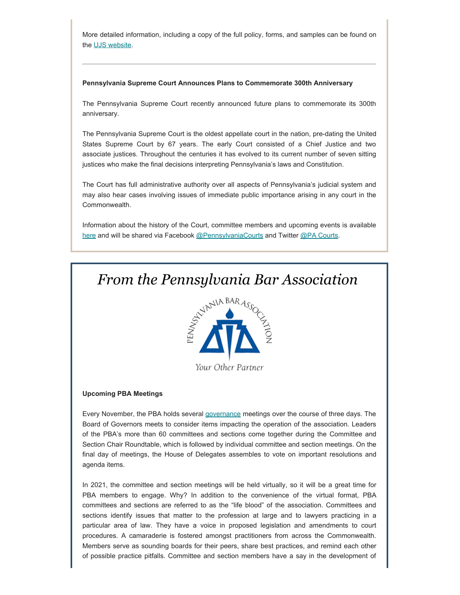More detailed information, including a copy of the full policy, forms, and samples can be found on the [UJS website.](https://www.pacourts.us/public-records/public-records-policies)

### **Pennsylvania Supreme Court Announces Plans to Commemorate 300th Anniversary**

The Pennsylvania Supreme Court recently announced future plans to commemorate its 300th anniversary.

The Pennsylvania Supreme Court is the oldest appellate court in the nation, pre-dating the United States Supreme Court by 67 years. The early Court consisted of a Chief Justice and two associate justices. Throughout the centuries it has evolved to its current number of seven sitting justices who make the final decisions interpreting Pennsylvania's laws and Constitution.

The Court has full administrative authority over all aspects of Pennsylvania's judicial system and may also hear cases involving issues of immediate public importance arising in any court in the Commonwealth.

Information about the history of the Court, committee members and upcoming events is available [here](https://www.pacourts.us/learn/history/celebrating-300-years) and will be shared via Facebook [@PennsylvaniaCourts](https://www.facebook.com/pennsylvaniacourts/) and Twitter [@PA Courts](https://twitter.com/PACourts).

## *From the Pennsylvania Bar Association*



Your Other Partner

### **Upcoming PBA Meetings**

Every November, the PBA holds several [governance](http://www.pabar.org/site/About-PBA/Governance-Read-More) meetings over the course of three days. The Board of Governors meets to consider items impacting the operation of the association. Leaders of the PBA's more than 60 committees and sections come together during the Committee and Section Chair Roundtable, which is followed by individual committee and section meetings. On the final day of meetings, the House of Delegates assembles to vote on important resolutions and agenda items.

In 2021, the committee and section meetings will be held virtually, so it will be a great time for PBA members to engage. Why? In addition to the convenience of the virtual format, PBA committees and sections are referred to as the "life blood" of the association. Committees and sections identify issues that matter to the profession at large and to lawyers practicing in a particular area of law. They have a voice in proposed legislation and amendments to court procedures. A camaraderie is fostered amongst practitioners from across the Commonwealth. Members serve as sounding boards for their peers, share best practices, and remind each other of possible practice pitfalls. Committee and section members have a say in the development of